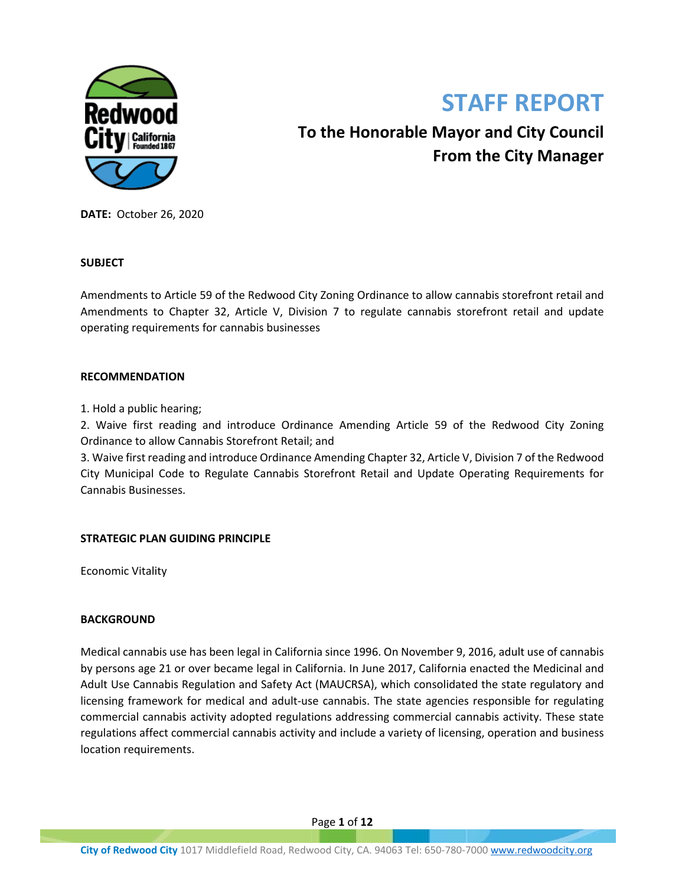

# **STAFF REPORT**

**To the Honorable Mayor and City Council From the City Manager**

**DATE:** October 26, 2020

## **SUBJECT**

Amendments to Article 59 of the Redwood City Zoning Ordinance to allow cannabis storefront retail and Amendments to Chapter 32, Article V, Division 7 to regulate cannabis storefront retail and update operating requirements for cannabis businesses

## **RECOMMENDATION**

1. Hold a public hearing;

2. Waive first reading and introduce Ordinance Amending Article 59 of the Redwood City Zoning Ordinance to allow Cannabis Storefront Retail; and

3. Waive first reading and introduce Ordinance Amending Chapter 32, Article V, Division 7 of the Redwood City Municipal Code to Regulate Cannabis Storefront Retail and Update Operating Requirements for Cannabis Businesses.

# **STRATEGIC PLAN GUIDING PRINCIPLE**

Economic Vitality

## **BACKGROUND**

Medical cannabis use has been legal in California since 1996. On November 9, 2016, adult use of cannabis by persons age 21 or over became legal in California. In June 2017, California enacted the Medicinal and Adult Use Cannabis Regulation and Safety Act (MAUCRSA), which consolidated the state regulatory and licensing framework for medical and adult-use cannabis. The state agencies responsible for regulating commercial cannabis activity adopted regulations addressing commercial cannabis activity. These state regulations affect commercial cannabis activity and include a variety of licensing, operation and business location requirements.

Page **1** of **12**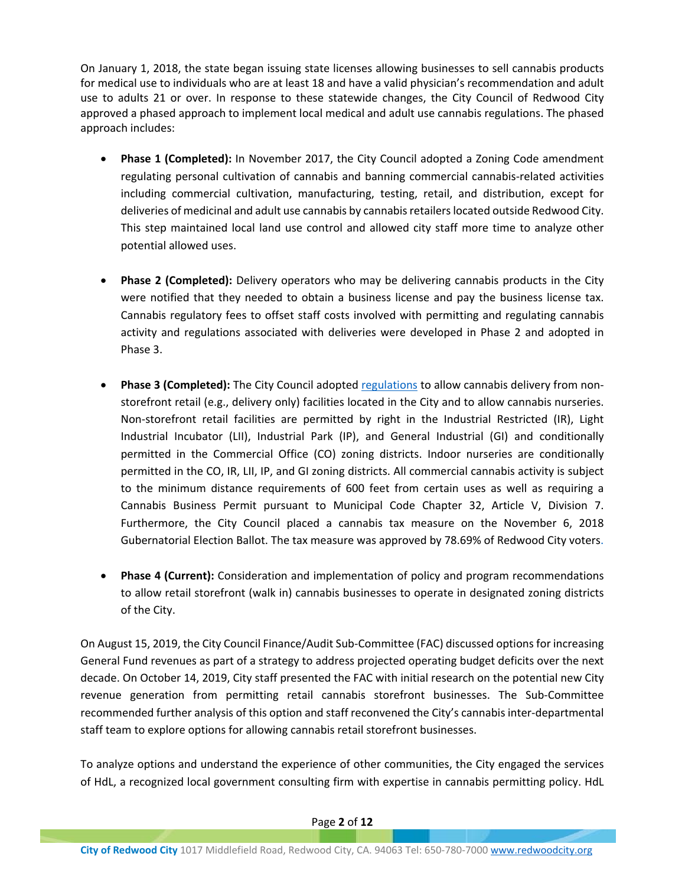On January 1, 2018, the state began issuing state licenses allowing businesses to sell cannabis products for medical use to individuals who are at least 18 and have a valid physician's recommendation and adult use to adults 21 or over. In response to these statewide changes, the City Council of Redwood City approved a phased approach to implement local medical and adult use cannabis regulations. The phased approach includes:

- **Phase 1 (Completed):** In November 2017, the City Council adopted a Zoning Code amendment regulating personal cultivation of cannabis and banning commercial cannabis-related activities including commercial cultivation, manufacturing, testing, retail, and distribution, except for deliveries of medicinal and adult use cannabis by cannabis retailers located outside Redwood City. This step maintained local land use control and allowed city staff more time to analyze other potential allowed uses.
- **Phase 2 (Completed):** Delivery operators who may be delivering cannabis products in the City were notified that they needed to obtain a business license and pay the business license tax. Cannabis regulatory fees to offset staff costs involved with permitting and regulating cannabis activity and regulations associated with deliveries were developed in Phase 2 and adopted in Phase 3.
- **Phase 3 (Completed):** The City Council adopted [regulations](https://library.municode.com/ca/redwood_city/codes/zoning?nodeId=ART59CACUCOCAAC) to allow cannabis delivery from nonstorefront retail (e.g., delivery only) facilities located in the City and to allow cannabis nurseries. Non-storefront retail facilities are permitted by right in the Industrial Restricted (IR), Light Industrial Incubator (LII), Industrial Park (IP), and General Industrial (GI) and conditionally permitted in the Commercial Office (CO) zoning districts. Indoor nurseries are conditionally permitted in the CO, IR, LII, IP, and GI zoning districts. All commercial cannabis activity is subject to the minimum distance requirements of 600 feet from certain uses as well as requiring a Cannabis Business Permit pursuant [to Municipal Code Chapter 32, Article V, Division 7.](https://library.municode.com/ca/redwood_city/codes/code_of_ordinances?nodeId=CH32TA_ARTVBULI_DIV7RECABU) Furthermore, the City Council placed a cannabis tax measure on the November 6, 2018 Gubernatorial Election Ballot. The tax measure was approved by 78.69% of Redwood City voters.
- **Phase 4 (Current):** Consideration and implementation of policy and program recommendations to allow retail storefront (walk in) cannabis businesses to operate in designated zoning districts of the City.

On August 15, 2019, the City Council Finance/Audit Sub-Committee (FAC) discussed options for increasing General Fund revenues as part of a strategy to address projected operating budget deficits over the next decade. On October 14, 2019, City staff presented the FAC with initial research on the potential new City revenue generation from permitting retail cannabis storefront businesses. The Sub-Committee recommended further analysis of this option and staff reconvened the City's cannabis inter-departmental staff team to explore options for allowing cannabis retail storefront businesses.

To analyze options and understand the experience of other communities, the City engaged the services of HdL, a recognized local government consulting firm with expertise in cannabis permitting policy. HdL

## Page **2** of **12**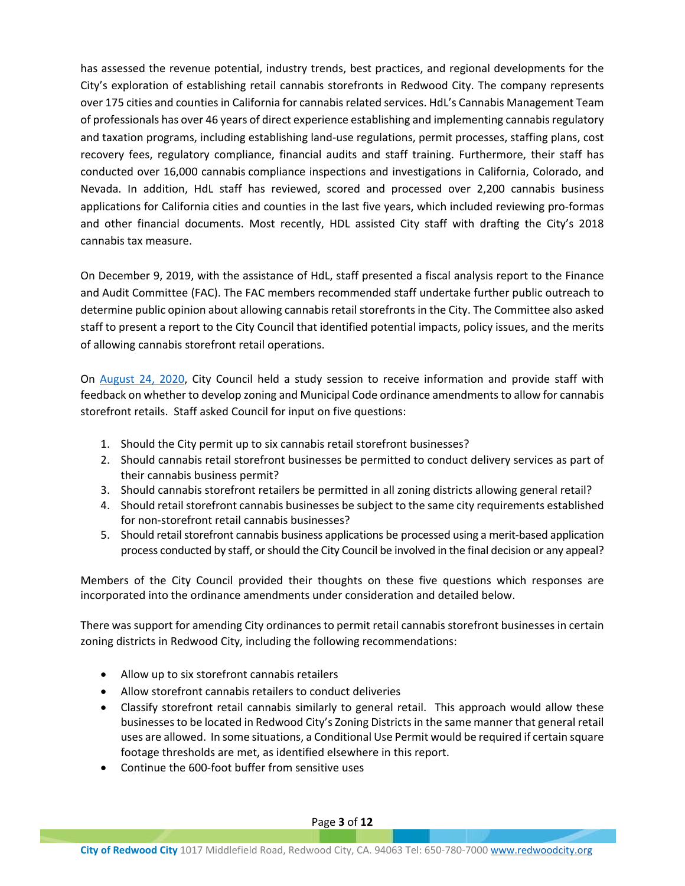has assessed the revenue potential, industry trends, best practices, and regional developments for the City's exploration of establishing retail cannabis storefronts in Redwood City. The company represents over 175 cities and counties in California for cannabis related services. HdL's Cannabis Management Team of professionals has over 46 years of direct experience establishing and implementing cannabis regulatory and taxation programs, including establishing land-use regulations, permit processes, staffing plans, cost recovery fees, regulatory compliance, financial audits and staff training. Furthermore, their staff has conducted over 16,000 cannabis compliance inspections and investigations in California, Colorado, and Nevada. In addition, HdL staff has reviewed, scored and processed over 2,200 cannabis business applications for California cities and counties in the last five years, which included reviewing pro-formas and other financial documents. Most recently, HDL assisted City staff with drafting the City's 2018 cannabis tax measure.

On December 9, 2019, with the assistance of HdL, staff presented a fiscal analysis report to the Finance and Audit Committee (FAC). The FAC members recommended staff undertake further public outreach to determine public opinion about allowing cannabis retail storefronts in the City. The Committee also asked staff to present a report to the City Council that identified potential impacts, policy issues, and the merits of allowing cannabis storefront retail operations.

On [August 24, 2020,](https://meetings.redwoodcity.org/AgendaOnline/Meetings/ViewMeeting?id=2136&doctype=1) City Council held a study session to receive information and provide staff with feedback on whether to develop zoning and Municipal Code ordinance amendments to allow for cannabis storefront retails. Staff asked Council for input on five questions:

- 1. Should the City permit up to six cannabis retail storefront businesses?
- 2. Should cannabis retail storefront businesses be permitted to conduct delivery services as part of their cannabis business permit?
- 3. Should cannabis storefront retailers be permitted in all zoning districts allowing general retail?
- 4. Should retail storefront cannabis businesses be subject to the same city requirements established for non-storefront retail cannabis businesses?
- 5. Should retail storefront cannabis business applications be processed using a merit-based application process conducted by staff, or should the City Council be involved in the final decision or any appeal?

Members of the City Council provided their thoughts on these five questions which responses are incorporated into the ordinance amendments under consideration and detailed below.

There was support for amending City ordinances to permit retail cannabis storefront businesses in certain zoning districts in Redwood City, including the following recommendations:

- Allow up to six storefront cannabis retailers
- Allow storefront cannabis retailers to conduct deliveries
- Classify storefront retail cannabis similarly to general retail. This approach would allow these businesses to be located in Redwood City's Zoning Districts in the same manner that general retail uses are allowed. In some situations, a Conditional Use Permit would be required if certain square footage thresholds are met, as identified elsewhere in this report.
- Continue the 600-foot buffer from sensitive uses

Page **3** of **12**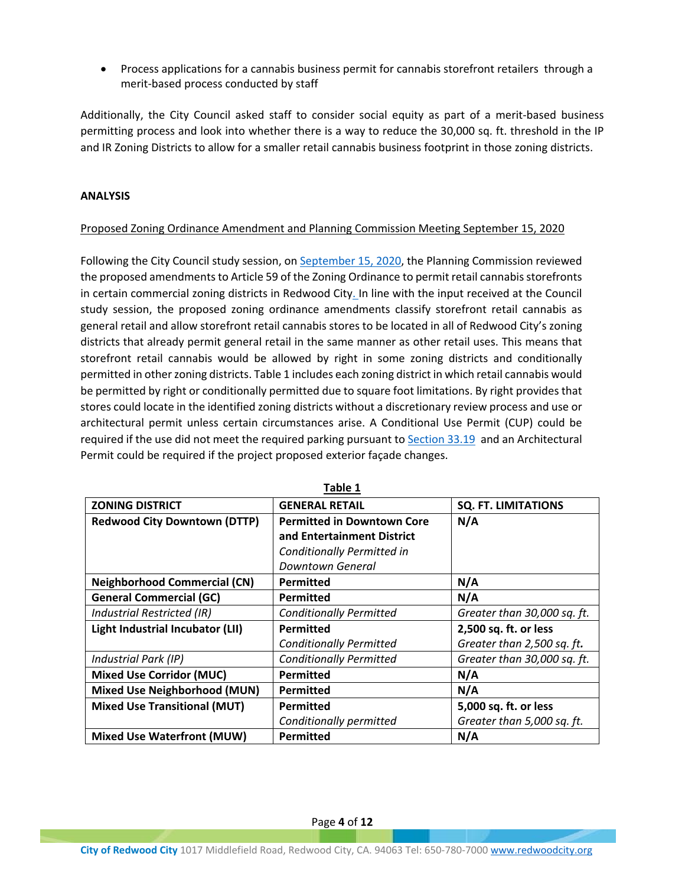Process applications for a cannabis business permit for cannabis storefront retailers through a merit-based process conducted by staff

Additionally, the City Council asked staff to consider social equity as part of a merit-based business permitting process and look into whether there is a way to reduce the 30,000 sq. ft. threshold in the IP and IR Zoning Districts to allow for a smaller retail cannabis business footprint in those zoning districts.

# **ANALYSIS**

# Proposed Zoning Ordinance Amendment and Planning Commission Meeting September 15, 2020

Following the City Council study session, on [September 15, 2020,](https://meetings.redwoodcity.org/AgendaOnline/Meetings/ViewMeeting?id=2153&doctype=1) the Planning Commission reviewed the proposed amendments to Article 59 of the Zoning Ordinance to permit retail cannabis storefronts in certain commercial zoning districts in Redwood City. In line with the input received at the Council study session, the proposed zoning ordinance amendments classify storefront retail cannabis as general retail and allow storefront retail cannabis stores to be located in all of Redwood City's zoning districts that already permit general retail in the same manner as other retail uses. This means that storefront retail cannabis would be allowed by right in some zoning districts and conditionally permitted in other zoning districts. Table 1 includes each zoning district in which retail cannabis would be permitted by right or conditionally permitted due to square foot limitations. By right provides that stores could locate in the identified zoning districts without a discretionary review process and use or architectural permit unless certain circumstances arise. A Conditional Use Permit (CUP) could be required if the use did not meet the required parking pursuant to [Section 33.19](https://library.municode.com/ca/redwood_city/codes/zoning?nodeId=ART33NOLOUSSTPA_33.19NOPAON) and an Architectural Permit could be required if the project proposed exterior façade changes.

| <b>ZONING DISTRICT</b>              | <b>GENERAL RETAIL</b><br><b>SQ. FT. LIMITATIONS</b> |                             |  |  |  |  |
|-------------------------------------|-----------------------------------------------------|-----------------------------|--|--|--|--|
| <b>Redwood City Downtown (DTTP)</b> | <b>Permitted in Downtown Core</b>                   | N/A                         |  |  |  |  |
|                                     | and Entertainment District                          |                             |  |  |  |  |
|                                     | Conditionally Permitted in                          |                             |  |  |  |  |
|                                     | Downtown General                                    |                             |  |  |  |  |
| <b>Neighborhood Commercial (CN)</b> | <b>Permitted</b>                                    | N/A                         |  |  |  |  |
| <b>General Commercial (GC)</b>      | <b>Permitted</b>                                    | N/A                         |  |  |  |  |
| Industrial Restricted (IR)          | <b>Conditionally Permitted</b>                      | Greater than 30,000 sq. ft. |  |  |  |  |
| Light Industrial Incubator (LII)    | Permitted                                           | 2,500 sq. ft. or less       |  |  |  |  |
|                                     | <b>Conditionally Permitted</b>                      | Greater than 2,500 sq. ft.  |  |  |  |  |
| Industrial Park (IP)                | <b>Conditionally Permitted</b>                      | Greater than 30,000 sq. ft. |  |  |  |  |
| <b>Mixed Use Corridor (MUC)</b>     | Permitted                                           | N/A                         |  |  |  |  |
| <b>Mixed Use Neighborhood (MUN)</b> | <b>Permitted</b>                                    | N/A                         |  |  |  |  |
| <b>Mixed Use Transitional (MUT)</b> | <b>Permitted</b>                                    | 5,000 sq. ft. or less       |  |  |  |  |
|                                     | Conditionally permitted                             | Greater than 5,000 sq. ft.  |  |  |  |  |
| <b>Mixed Use Waterfront (MUW)</b>   | <b>Permitted</b>                                    | N/A                         |  |  |  |  |

**Table 1**

Page **4** of **12**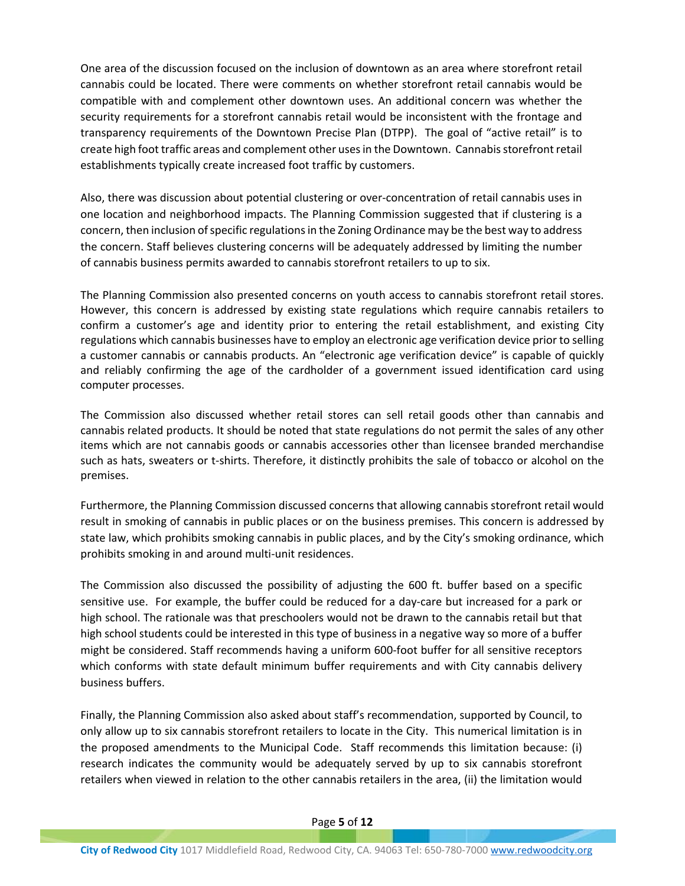One area of the discussion focused on the inclusion of downtown as an area where storefront retail cannabis could be located. There were comments on whether storefront retail cannabis would be compatible with and complement other downtown uses. An additional concern was whether the security requirements for a storefront cannabis retail would be inconsistent with the frontage and transparency requirements of the Downtown Precise Plan (DTPP). The goal of "active retail" is to create high foot traffic areas and complement other uses in the Downtown. Cannabis storefront retail establishments typically create increased foot traffic by customers.

Also, there was discussion about potential clustering or over-concentration of retail cannabis uses in one location and neighborhood impacts. The Planning Commission suggested that if clustering is a concern, then inclusion of specific regulations in the Zoning Ordinance may be the best way to address the concern. Staff believes clustering concerns will be adequately addressed by limiting the number of cannabis business permits awarded to cannabis storefront retailers to up to six.

The Planning Commission also presented concerns on youth access to cannabis storefront retail stores. However, this concern is addressed by existing state regulations which require cannabis retailers to confirm a customer's age and identity prior to entering the retail establishment, and existing City regulations which cannabis businesses have to employ an electronic age verification device prior to selling a customer cannabis or cannabis products. An "electronic age verification device" is capable of quickly and reliably confirming the age of the cardholder of a government issued identification card using computer processes.

The Commission also discussed whether retail stores can sell retail goods other than cannabis and cannabis related products. It should be noted that state regulations do not permit the sales of any other items which are not cannabis goods or cannabis accessories other than licensee branded merchandise such as hats, sweaters or t-shirts. Therefore, it distinctly prohibits the sale of tobacco or alcohol on the premises.

Furthermore, the Planning Commission discussed concerns that allowing cannabis storefront retail would result in smoking of cannabis in public places or on the business premises. This concern is addressed by state law, which prohibits smoking cannabis in public places, and by the City's smoking ordinance, which prohibits smoking in and around multi-unit residences.

The Commission also discussed the possibility of adjusting the 600 ft. buffer based on a specific sensitive use. For example, the buffer could be reduced for a day-care but increased for a park or high school. The rationale was that preschoolers would not be drawn to the cannabis retail but that high school students could be interested in this type of business in a negative way so more of a buffer might be considered. Staff recommends having a uniform 600-foot buffer for all sensitive receptors which conforms with state default minimum buffer requirements and with City cannabis delivery business buffers.

Finally, the Planning Commission also asked about staff's recommendation, supported by Council, to only allow up to six cannabis storefront retailers to locate in the City. This numerical limitation is in the proposed amendments to the Municipal Code. Staff recommends this limitation because: (i) research indicates the community would be adequately served by up to six cannabis storefront retailers when viewed in relation to the other cannabis retailers in the area, (ii) the limitation would

#### Page **5** of **12**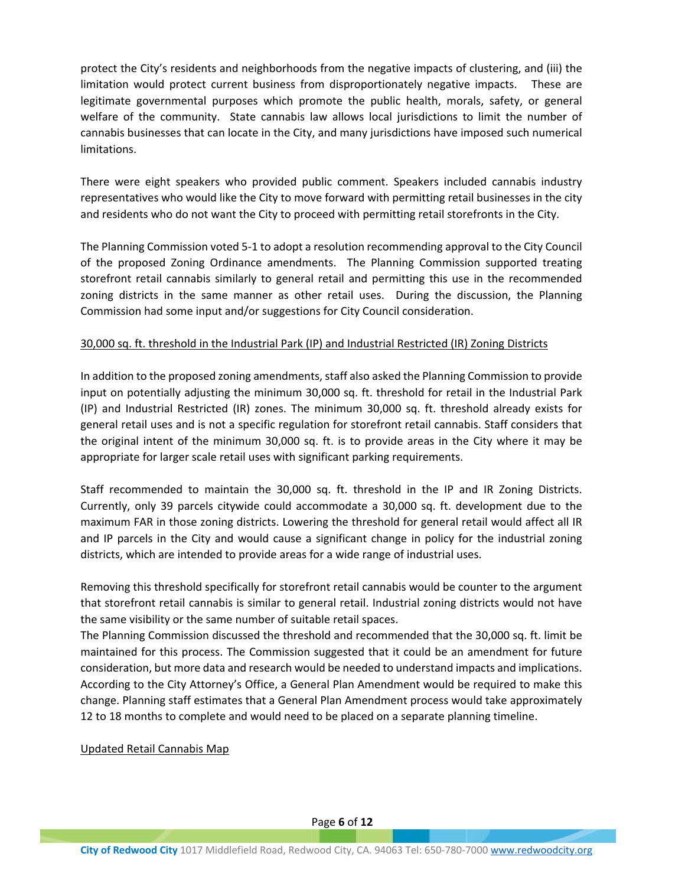protect the City's residents and neighborhoods from the negative impacts of clustering, and (iii) the limitation would protect current business from disproportionately negative impacts. These are legitimate governmental purposes which promote the public health, morals, safety, or general welfare of the community. State cannabis law allows local jurisdictions to limit the number of cannabis businesses that can locate in the City, and many jurisdictions have imposed such numerical limitations.

There were eight speakers who provided public comment. Speakers included cannabis industry representatives who would like the City to move forward with permitting retail businesses in the city and residents who do not want the City to proceed with permitting retail storefronts in the City.

The Planning Commission voted 5-1 to adopt a resolution recommending approval to the City Council of the proposed Zoning Ordinance amendments. The Planning Commission supported treating storefront retail cannabis similarly to general retail and permitting this use in the recommended zoning districts in the same manner as other retail uses. During the discussion, the Planning Commission had some input and/or suggestions for City Council consideration.

## 30,000 sq. ft. threshold in the Industrial Park (IP) and Industrial Restricted (IR) Zoning Districts

In addition to the proposed zoning amendments, staff also asked the Planning Commission to provide input on potentially adjusting the minimum 30,000 sq. ft. threshold for retail in the Industrial Park (IP) and Industrial Restricted (IR) zones. The minimum 30,000 sq. ft. threshold already exists for general retail uses and is not a specific regulation for storefront retail cannabis. Staff considers that the original intent of the minimum 30,000 sq. ft. is to provide areas in the City where it may be appropriate for larger scale retail uses with significant parking requirements.

Staff recommended to maintain the 30,000 sq. ft. threshold in the IP and IR Zoning Districts. Currently, only 39 parcels citywide could accommodate a 30,000 sq. ft. development due to the maximum FAR in those zoning districts. Lowering the threshold for general retail would affect all IR and IP parcels in the City and would cause a significant change in policy for the industrial zoning districts, which are intended to provide areas for a wide range of industrial uses.

Removing this threshold specifically for storefront retail cannabis would be counter to the argument that storefront retail cannabis is similar to general retail. Industrial zoning districts would not have the same visibility or the same number of suitable retail spaces.

The Planning Commission discussed the threshold and recommended that the 30,000 sq. ft. limit be maintained for this process. The Commission suggested that it could be an amendment for future consideration, but more data and research would be needed to understand impacts and implications. According to the City Attorney's Office, a General Plan Amendment would be required to make this change. Planning staff estimates that a General Plan Amendment process would take approximately 12 to 18 months to complete and would need to be placed on a separate planning timeline.

Updated Retail Cannabis Map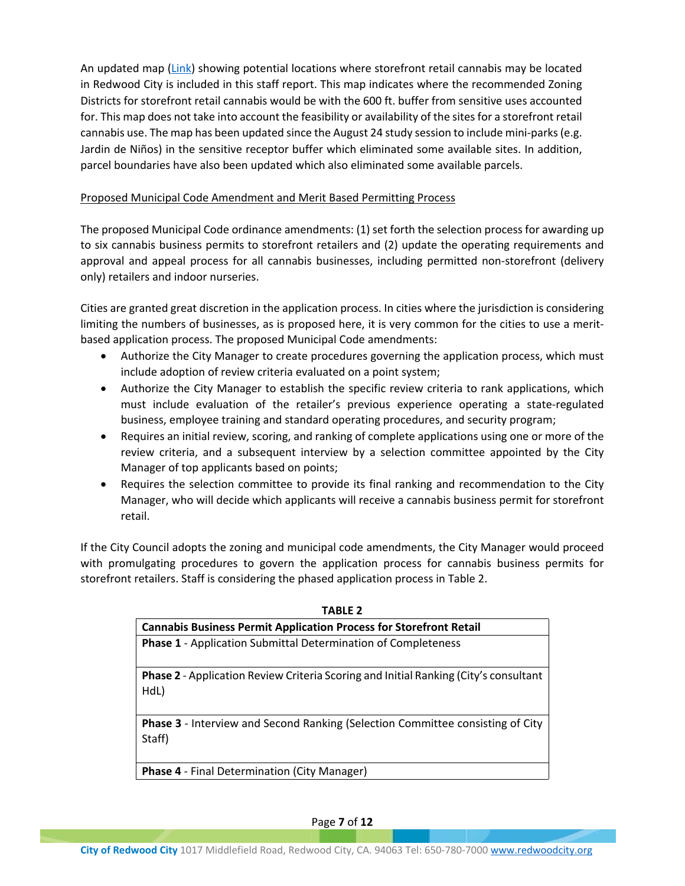An updated map [\(Link](http://webapps.redwoodcity.org/files/cd/main/Cannabis_Detail_Map_600Ft_Radius_with_Zoning_Sept21_2020_RWC_Complete.pdf)) showing potential locations where storefront retail cannabis may be located in Redwood City is included in this staff report. This map indicates where the recommended Zoning Districts for storefront retail cannabis would be with the 600 ft. buffer from sensitive uses accounted for. This map does not take into account the feasibility or availability of the sites for a storefront retail cannabis use. The map has been updated since the August 24 study session to include mini-parks (e.g. Jardin de Niños) in the sensitive receptor buffer which eliminated some available sites. In addition, parcel boundaries have also been updated which also eliminated some available parcels.

# Proposed Municipal Code Amendment and Merit Based Permitting Process

The proposed Municipal Code ordinance amendments: (1) set forth the selection process for awarding up to six cannabis business permits to storefront retailers and (2) update the operating requirements and approval and appeal process for all cannabis businesses, including permitted non-storefront (delivery only) retailers and indoor nurseries.

Cities are granted great discretion in the application process. In cities where the jurisdiction is considering limiting the numbers of businesses, as is proposed here, it is very common for the cities to use a meritbased application process. The proposed Municipal Code amendments:

- Authorize the City Manager to create procedures governing the application process, which must include adoption of review criteria evaluated on a point system;
- Authorize the City Manager to establish the specific review criteria to rank applications, which must include evaluation of the retailer's previous experience operating a state-regulated business, employee training and standard operating procedures, and security program;
- Requires an initial review, scoring, and ranking of complete applications using one or more of the review criteria, and a subsequent interview by a selection committee appointed by the City Manager of top applicants based on points;
- Requires the selection committee to provide its final ranking and recommendation to the City Manager, who will decide which applicants will receive a cannabis business permit for storefront retail.

If the City Council adopts the zoning and municipal code amendments, the City Manager would proceed with promulgating procedures to govern the application process for cannabis business permits for storefront retailers. Staff is considering the phased application process in Table 2.

| 1 AULL 4                                                                                     |  |  |  |  |
|----------------------------------------------------------------------------------------------|--|--|--|--|
| <b>Cannabis Business Permit Application Process for Storefront Retail</b>                    |  |  |  |  |
| <b>Phase 1</b> - Application Submittal Determination of Completeness                         |  |  |  |  |
| Phase 2 - Application Review Criteria Scoring and Initial Ranking (City's consultant<br>HdL) |  |  |  |  |
| <b>Phase 3</b> - Interview and Second Ranking (Selection Committee consisting of City        |  |  |  |  |
| Staff)                                                                                       |  |  |  |  |
| <b>Phase 4</b> - Final Determination (City Manager)                                          |  |  |  |  |

**TABLE 2**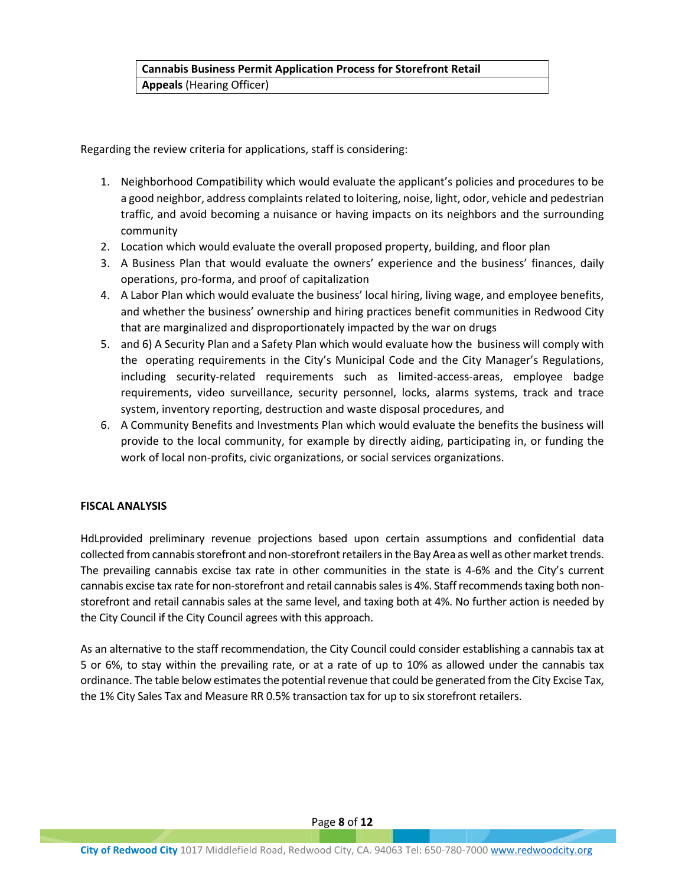# **Cannabis Business Permit Application Process for Storefront Retail Appeals** (Hearing Officer)

Regarding the review criteria for applications, staff is considering:

- 1. Neighborhood Compatibility which would evaluate the applicant's policies and procedures to be a good neighbor, address complaints related to loitering, noise, light, odor, vehicle and pedestrian traffic, and avoid becoming a nuisance or having impacts on its neighbors and the surrounding community
- 2. Location which would evaluate the overall proposed property, building, and floor plan
- 3. A Business Plan that would evaluate the owners' experience and the business' finances, daily operations, pro-forma, and proof of capitalization
- 4. A Labor Plan which would evaluate the business' local hiring, living wage, and employee benefits, and whether the business' ownership and hiring practices benefit communities in Redwood City that are marginalized and disproportionately impacted by the war on drugs
- 5. and 6) A Security Plan and a Safety Plan which would evaluate how the business will comply with the operating requirements in the City's Municipal Code and the City Manager's Regulations, including security-related requirements such as limited-access-areas, employee badge requirements, video surveillance, security personnel, locks, alarms systems, track and trace system, inventory reporting, destruction and waste disposal procedures, and
- 6. A Community Benefits and Investments Plan which would evaluate the benefits the business will provide to the local community, for example by directly aiding, participating in, or funding the work of local non-profits, civic organizations, or social services organizations.

# **FISCAL ANALYSIS**

HdLprovided preliminary revenue projections based upon certain assumptions and confidential data collected from cannabis storefront and non-storefront retailers in the Bay Area as well as other market trends. The prevailing cannabis excise tax rate in other communities in the state is 4-6% and the City's current cannabis excise tax rate for non-storefront and retail cannabis sales is 4%. Staff recommends taxing both nonstorefront and retail cannabis sales at the same level, and taxing both at 4%. No further action is needed by the City Council if the City Council agrees with this approach.

As an alternative to the staff recommendation, the City Council could consider establishing a cannabis tax at 5 or 6%, to stay within the prevailing rate, or at a rate of up to 10% as allowed under the cannabis tax ordinance. The table below estimates the potential revenue that could be generated from the City Excise Tax, the 1% City Sales Tax and Measure RR 0.5% transaction tax for up to six storefront retailers.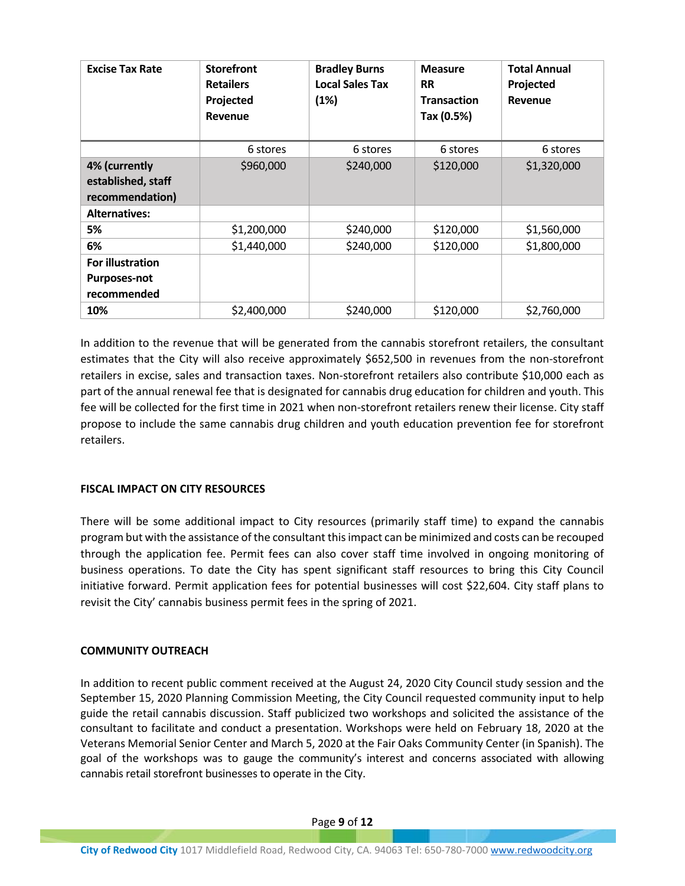| <b>Excise Tax Rate</b>  | <b>Storefront</b><br><b>Retailers</b><br>Projected<br>Revenue | <b>Bradley Burns</b><br><b>Local Sales Tax</b><br>(1%) | <b>Measure</b><br><b>RR</b><br><b>Transaction</b><br>Tax (0.5%) | <b>Total Annual</b><br>Projected<br>Revenue |
|-------------------------|---------------------------------------------------------------|--------------------------------------------------------|-----------------------------------------------------------------|---------------------------------------------|
|                         | 6 stores                                                      | 6 stores                                               | 6 stores                                                        | 6 stores                                    |
| 4% (currently           | \$960,000                                                     | \$240,000                                              | \$120,000                                                       | \$1,320,000                                 |
| established, staff      |                                                               |                                                        |                                                                 |                                             |
| recommendation)         |                                                               |                                                        |                                                                 |                                             |
| <b>Alternatives:</b>    |                                                               |                                                        |                                                                 |                                             |
| 5%                      | \$1,200,000                                                   | \$240,000                                              | \$120,000                                                       | \$1,560,000                                 |
| 6%                      | \$1,440,000                                                   | \$240,000                                              | \$120,000                                                       | \$1,800,000                                 |
| <b>For illustration</b> |                                                               |                                                        |                                                                 |                                             |
| <b>Purposes-not</b>     |                                                               |                                                        |                                                                 |                                             |
| recommended             |                                                               |                                                        |                                                                 |                                             |
| 10%                     | \$2,400,000                                                   | \$240,000                                              | \$120,000                                                       | \$2,760,000                                 |

In addition to the revenue that will be generated from the cannabis storefront retailers, the consultant estimates that the City will also receive approximately \$652,500 in revenues from the non-storefront retailers in excise, sales and transaction taxes. Non-storefront retailers also contribute \$10,000 each as part of the annual renewal fee that is designated for cannabis drug education for children and youth. This fee will be collected for the first time in 2021 when non-storefront retailers renew their license. City staff propose to include the same cannabis drug children and youth education prevention fee for storefront retailers.

# **FISCAL IMPACT ON CITY RESOURCES**

There will be some additional impact to City resources (primarily staff time) to expand the cannabis program but with the assistance of the consultant this impact can be minimized and costs can be recouped through the application fee. Permit fees can also cover staff time involved in ongoing monitoring of business operations. To date the City has spent significant staff resources to bring this City Council initiative forward. Permit application fees for potential businesses will cost \$22,604. City staff plans to revisit the City' cannabis business permit fees in the spring of 2021.

# **COMMUNITY OUTREACH**

In addition to recent public comment received at the August 24, 2020 City Council study session and the September 15, 2020 Planning Commission Meeting, the City Council requested community input to help guide the retail cannabis discussion. Staff publicized two workshops and solicited the assistance of the consultant to facilitate and conduct a presentation. Workshops were held on February 18, 2020 at the Veterans Memorial Senior Center and March 5, 2020 at the Fair Oaks Community Center (in Spanish). The goal of the workshops was to gauge the community's interest and concerns associated with allowing cannabis retail storefront businesses to operate in the City.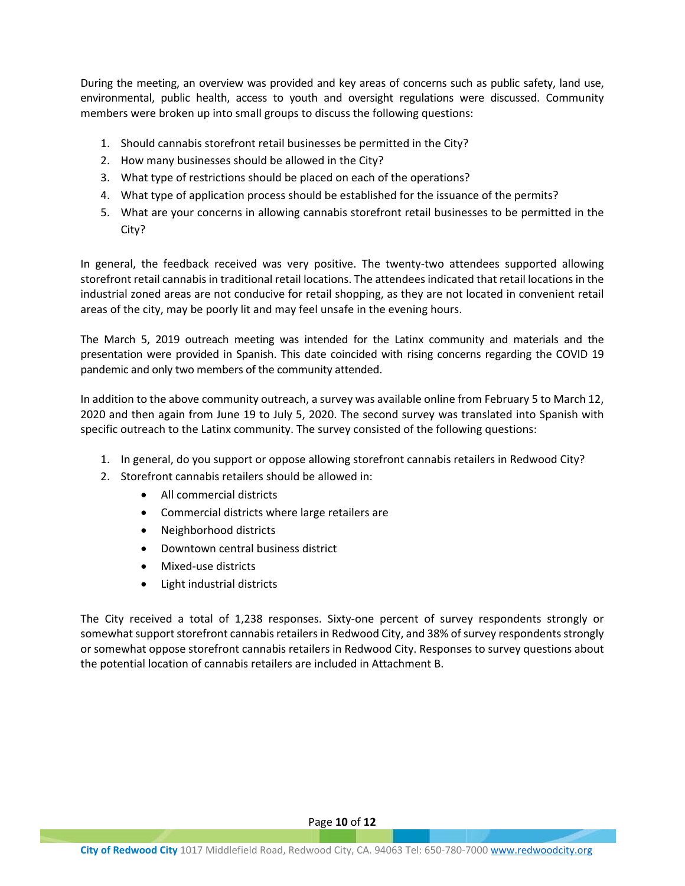During the meeting, an overview was provided and key areas of concerns such as public safety, land use, environmental, public health, access to youth and oversight regulations were discussed. Community members were broken up into small groups to discuss the following questions:

- 1. Should cannabis storefront retail businesses be permitted in the City?
- 2. How many businesses should be allowed in the City?
- 3. What type of restrictions should be placed on each of the operations?
- 4. What type of application process should be established for the issuance of the permits?
- 5. What are your concerns in allowing cannabis storefront retail businesses to be permitted in the City?

In general, the feedback received was very positive. The twenty-two attendees supported allowing storefront retail cannabis in traditional retail locations. The attendees indicated that retail locations in the industrial zoned areas are not conducive for retail shopping, as they are not located in convenient retail areas of the city, may be poorly lit and may feel unsafe in the evening hours.

The March 5, 2019 outreach meeting was intended for the Latinx community and materials and the presentation were provided in Spanish. This date coincided with rising concerns regarding the COVID 19 pandemic and only two members of the community attended.

In addition to the above community outreach, a survey was available online from February 5 to March 12, 2020 and then again from June 19 to July 5, 2020. The second survey was translated into Spanish with specific outreach to the Latinx community. The survey consisted of the following questions:

- 1. In general, do you support or oppose allowing storefront cannabis retailers in Redwood City?
- 2. Storefront cannabis retailers should be allowed in:
	- All commercial districts
	- Commercial districts where large retailers are
	- Neighborhood districts
	- Downtown central business district
	- Mixed-use districts
	- Light industrial districts

The City received a total of 1,238 responses. Sixty-one percent of survey respondents strongly or somewhat support storefront cannabis retailers in Redwood City, and 38% of survey respondents strongly or somewhat oppose storefront cannabis retailers in Redwood City. Responses to survey questions about the potential location of cannabis retailers are included in Attachment B.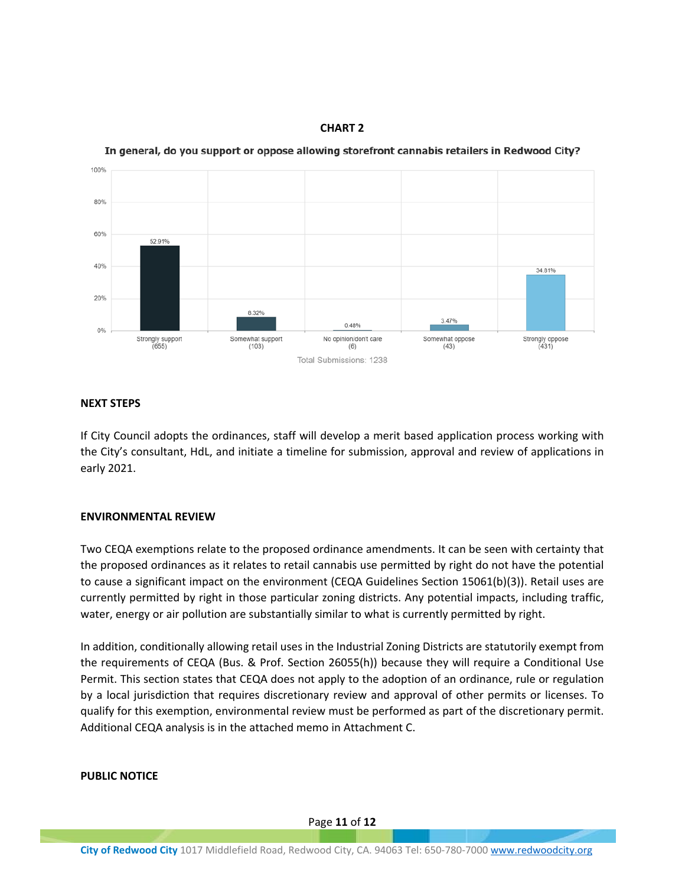**CHART 2**





## **NEXT STEPS**

If City Council adopts the ordinances, staff will develop a merit based application process working with the City's consultant, HdL, and initiate a timeline for submission, approval and review of applications in early 2021.

## **ENVIRONMENTAL REVIEW**

Two CEQA exemptions relate to the proposed ordinance amendments. It can be seen with certainty that the proposed ordinances as it relates to retail cannabis use permitted by right do not have the potential to cause a significant impact on the environment (CEQA Guidelines Section 15061(b)(3)). Retail uses are currently permitted by right in those particular zoning districts. Any potential impacts, including traffic, water, energy or air pollution are substantially similar to what is currently permitted by right.

In addition, conditionally allowing retail uses in the Industrial Zoning Districts are statutorily exempt from the requirements of CEQA (Bus. & Prof. Section 26055(h)) because they will require a Conditional Use Permit. This section states that CEQA does not apply to the adoption of an ordinance, rule or regulation by a local jurisdiction that requires discretionary review and approval of other permits or licenses. To qualify for this exemption, environmental review must be performed as part of the discretionary permit. Additional CEQA analysis is in the attached memo in Attachment C.

## **PUBLIC NOTICE**